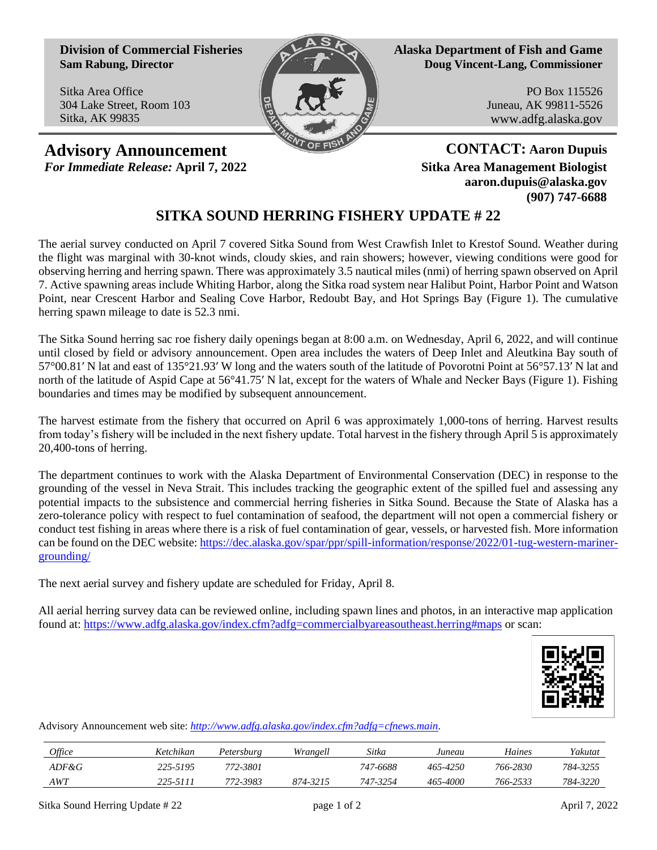**Division of Commercial Fisheries Sam Rabung, Director**

Sitka Area Office 304 Lake Street, Room 103 Sitka, AK 99835



**Alaska Department of Fish and Game Doug Vincent-Lang, Commissioner**

> PO Box 115526 Juneau, AK 99811-5526 www.adfg.alaska.gov

**Advisory Announcement CONTACT:** Aaron Dupuis *For Immediate Release:* **April 7, 2022 Sitka Area Management Biologist**

**aaron.dupuis@alaska.gov (907) 747-6688**

## **SITKA SOUND HERRING FISHERY UPDATE # 22**

The aerial survey conducted on April 7 covered Sitka Sound from West Crawfish Inlet to Krestof Sound. Weather during the flight was marginal with 30-knot winds, cloudy skies, and rain showers; however, viewing conditions were good for observing herring and herring spawn. There was approximately 3.5 nautical miles (nmi) of herring spawn observed on April 7. Active spawning areas include Whiting Harbor, along the Sitka road system near Halibut Point, Harbor Point and Watson Point, near Crescent Harbor and Sealing Cove Harbor, Redoubt Bay, and Hot Springs Bay (Figure 1). The cumulative herring spawn mileage to date is 52.3 nmi.

The Sitka Sound herring sac roe fishery daily openings began at 8:00 a.m. on Wednesday, April 6, 2022, and will continue until closed by field or advisory announcement. Open area includes the waters of Deep Inlet and Aleutkina Bay south of 57°00.81′ N lat and east of 135°21.93′ W long and the waters south of the latitude of Povorotni Point at 56°57.13′ N lat and north of the latitude of Aspid Cape at 56°41.75′ N lat, except for the waters of Whale and Necker Bays (Figure 1). Fishing boundaries and times may be modified by subsequent announcement.

The harvest estimate from the fishery that occurred on April 6 was approximately 1,000-tons of herring. Harvest results from today's fishery will be included in the next fishery update. Total harvest in the fishery through April 5 is approximately 20,400-tons of herring.

The department continues to work with the Alaska Department of Environmental Conservation (DEC) in response to the grounding of the vessel in Neva Strait. This includes tracking the geographic extent of the spilled fuel and assessing any potential impacts to the subsistence and commercial herring fisheries in Sitka Sound. Because the State of Alaska has a zero-tolerance policy with respect to fuel contamination of seafood, the department will not open a commercial fishery or conduct test fishing in areas where there is a risk of fuel contamination of gear, vessels, or harvested fish. More information can be found on the DEC website[: https://dec.alaska.gov/spar/ppr/spill-information/response/2022/01-tug-western-mariner](https://dec.alaska.gov/spar/ppr/spill-information/response/2022/01-tug-western-mariner-grounding/)[grounding/](https://dec.alaska.gov/spar/ppr/spill-information/response/2022/01-tug-western-mariner-grounding/)

The next aerial survey and fishery update are scheduled for Friday, April 8.

All aerial herring survey data can be reviewed online, including spawn lines and photos, in an interactive map application found at: <https://www.adfg.alaska.gov/index.cfm?adfg=commercialbyareasoutheast.herring#maps> or scan:



Advisory Announcement web site: *[http://www.adfg.alaska.gov/index.cfm?adfg=cfnews.main.](http://www.adfg.alaska.gov/index.cfm?adfg=cfnews.main)*

| <i>Office</i> | <i>Ketchikan</i> | Petersburg | Wrangell | Sitka    | Juneau   | Haines   | Yakutat  |
|---------------|------------------|------------|----------|----------|----------|----------|----------|
| $ADF\&G$      | 225-5195         | 772-3801   |          | 747-6688 | 465-4250 | 766-2830 | 784-3255 |
| AWT           | 225-5111         | 772-3983   | 874-3215 | 747-3254 | 465-4000 | 766-2533 | 784-3220 |